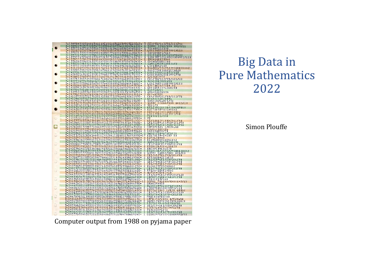

# **Big Data in Pure Mathematics** 2022

Simon Plouffe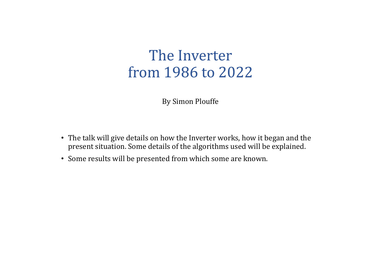# The Inverter from 1986 to 2022

By Simon Plouffe

- The talk will give details on how the Inverter works, how it began and the present situation. Some details of the algorithms used will be explained.
- Some results will be presented from which some are known.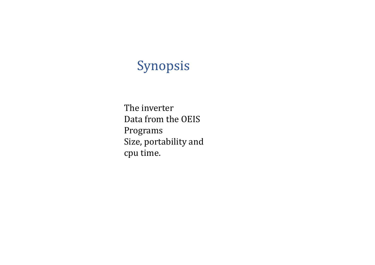# Synopsis

The inverter Data from the OEIS Programs Size, portability and cpu time.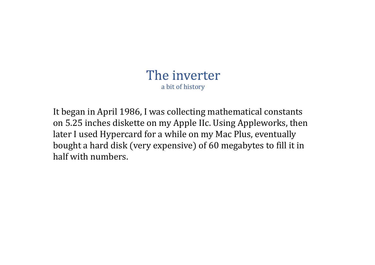It began in April 1986, I was collecting mathematical constants on 5.25 inches diskette on my Apple IIc. Using Appleworks, then later I used Hypercard for a while on my Mac Plus, eventually bought a hard disk (very expensive) of 60 megabytes to fill it in half with numbers.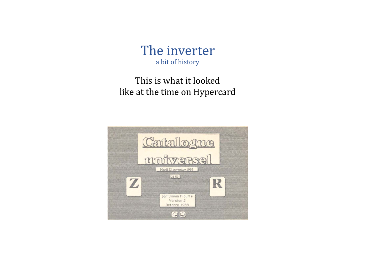

#### This is what it looked like at the time on Hypercard

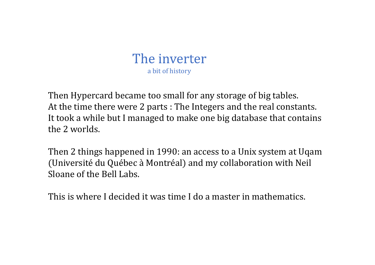

Then Hypercard became too small for any storage of big tables. At the time there were 2 parts : The Integers and the real constants. It took <sup>a</sup> while but I managed to make one big database that contains the 2 worlds.

Then 2 things happened in 1990: an access to <sup>a</sup> Unix system at Uqam (Université du Québec à Montréal) and my collaboration with Neil Sloane of the Bell Labs.

This is where I decided it was time I do <sup>a</sup> master in mathematics.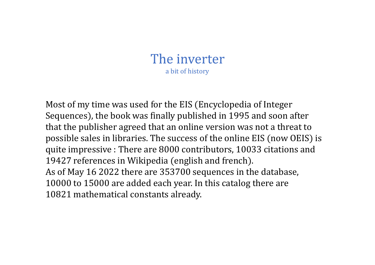Most of my time was used for the EIS (Encyclopedia of Integer Sequences), the book was finally published in 1995 and soon after that the publisher agreed that an online version was not <sup>a</sup> threat to possible sales in libraries. The success of the online EIS (now OEIS) is quite impressive : There are 8000 contributors, 10033 citations and 19427 references in Wikipedia (english and french). As of May 16 2022 there are 353700 sequences in the database, 10000 to 15000 are added each year. In this catalog there are 10821 mathematical constants already.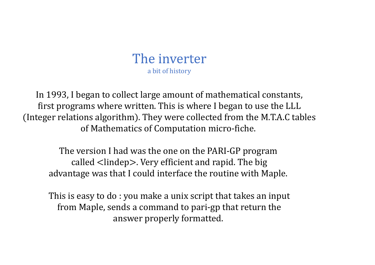In 1993, I began to collect large amount of mathematical constants, first programs where written. This is where I began to use the LLL (Integer relations algorithm). They were collected from the M.T.A.C tables of Mathematics of Computation micro-fiche.

The version I had was the one on the PARI-GP program called  $\langle$ lindep $\rangle$ . Very efficient and rapid. The big advantage was that I could interface the routine with Maple.

This is easy to do : you make a unix script that takes an input from Maple, sends a command to pari-gp that return the answer properly formatted.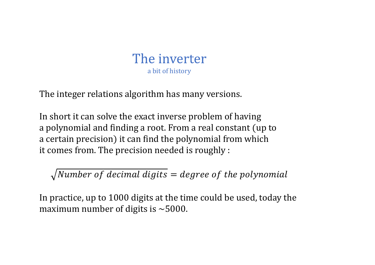

The integer relations algorithm has many versions.

In short it can solve the exact inverse problem of having a polynomial and finding a root. From a real constant (up to a certain precision) it can find the polynomial from which it comes from. The precision needed is roughly :

 $\sqrt{Number\ of\ decimal\ digits} = degree\ of\ the\ polynomial$ 

In practice, up to 1000 digits at the time could be used, today the maximum number of digits is  $\sim$  5000.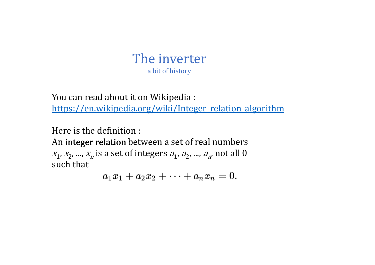You can read about it on Wikipedia : https://en.wikipedia.org/wiki/Integer\_relation\_algorithm

Here is the definition :

An **integer relation** between a set of real numbers  $x_1$ ,  $x_2$ , ...,  $x_n$  is a set of integers  $a_1$ ,  $a_2$ , ...,  $a_{n^{\prime}}$  not all  $0$ such that

 $a_1x_1 + a_2x_2 + \cdots + a_nx_n = 0.$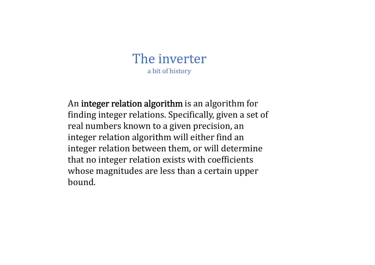An integer relation algorithm is an algorithm for finding integer relations. Specifically, given a set of real numbers known to a given precision, an integer relation algorithm will either find an integer relation between them, or will determine that no integer relation exists with coefficients whose magnitudes are less than a certain upper bound.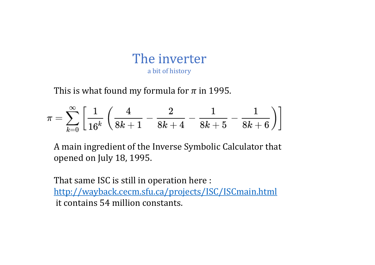This is what found my formula for  $\pi$  in 1995.

$$
\pi=\sum_{k=0}^\infty\left[\frac{1}{16^k}\left(\frac{4}{8k+1}-\frac{2}{8k+4}-\frac{1}{8k+5}-\frac{1}{8k+6}\right)\right]
$$

A main ingredient of the Inverse Symbolic Calculator that opened on July 18, 1995.

That same ISC is still in operation here : http://wayback.cecm.sfu.ca/projects/ISC/ISCmain.html it contains 54 million constants.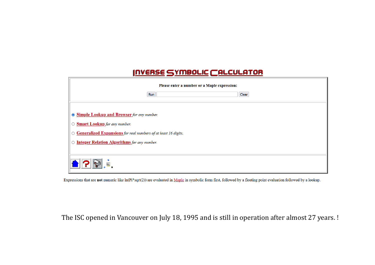| <b>INVERSE SYMBOLIC CALCULATOR</b>                                                                                                                   |
|------------------------------------------------------------------------------------------------------------------------------------------------------|
| Please enter a number or a Maple expression:<br>Clear<br>Run                                                                                         |
| Simple Lookup and Browser for any number.<br><b>Smart Lookup</b> for any number.<br>○ Generalized Expansions for real numbers of at least 16 digits. |
| ○ Integer Relation Algorithms for any number.                                                                                                        |
|                                                                                                                                                      |

Expressions that are not numeric like  $ln(Pi*sqrt(2))$  are evaluated in Maple in symbolic form first, followed by a floating point evaluation followed by a lookup.

The ISC opened in Vancouver on July 18, 1995 and is still in operation after almost 27 years. !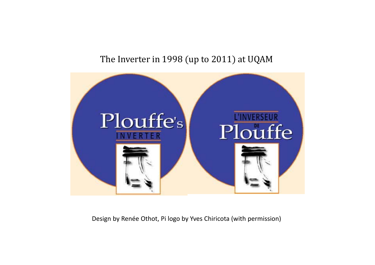#### The Inverter in 1998 (up to 2011) at UQAM



Design by Renée Othot, Pi logo by Yves Chiricota (with permission)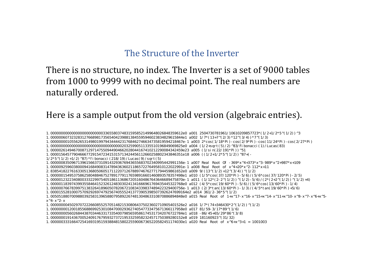#### The Structure of the Inverter

There is no structure, no index. The Inverter is a set of 9000 tables from 1000 to 9999 with no decimal point. The real numbers are naturally ordered.

#### Here is a sample output from the old version (algebraic entries).

1/2\*5^(1/2)+1/2)^87)\*fibonacci(218/19)/Lucas(9)/sqrt(5)

1.000000835096713961566373109143293676943655683702340995442991156e-1 a007 Real Root Of -369\*x^4+373\*x^3-989\*x^2+987\*x+109

1.000009259603800094168490831478943636021186572276495810122022991e-1 a008 Real Root of x^4+20\*x^2-112\*x+11

<sup>1.000000000000000000000000033655803748315958521499648026848359612</sup>e0 a001 2504730781961/10610209857723\*(1/2+1/2\*5^(1/2))^3

<sup>1.000000607323283127668981735654042398813845595946023834829615844</sup>e1 a002 1/7\*(13+7^(2/3)\*12^(3/4))\*7^(1/3)

<sup>1.000000001055626531498019979434444231768462746634735819594218467</sup>e-1 a003 2\*cos(1/18\*Pi)-cos(2/9\*Pi)-cos(11/24\*Pi)-cos(2/27\*Pi)

<sup>1.000000000000000000000000000000000020325990511335510196849069825</sup>e0 a004 (1/2+sqrt(5)/2)^83/Fibonacci(1)/Lucas(83)

<sup>1.000002614946700871297147550944904662028044167410212290084342459</sup>e23 a005 (1/sin(22/191\*Pi))^51

<sup>1.000015645779046667729154723415315713424456112660258802343846351</sup>e18 a006 ((1/2+1/2\*5^(1/2))^87+(-

<sup>2.838541822761633051368050605171122071267889746762771794459861652</sup>e0 a009 9/(13^(1/2)+12^(3/4))^(1/2)

<sup>1.000000154953758625804884675278917791176598916601460893578357498</sup>e1 a010 (1/5\*cos(37/120\*Pi)-5/6)/(5/6\*cos(37/120\*Pi)-2/5)

<sup>1.000001232234080033322997540518611368672051604867643646689475870</sup>e-1 a011 (1/12\*(2-2^(1/2))^(1/2)-5/6)/(2\*(2+2^(1/2))^(1/2)+4)

<sup>1.000001183974399355846415232612483030241341666961769435445322768</sup>e0 a012 (4/5\*cos(19/60\*Pi)-5/6)/(5/6\*cos(13/60\*Pi)-1/4)

<sup>1.000000766783997513832641896050782067210834339837489422329400756</sup>e-1 a013 (2/3\*tan(13/60\*Pi)-1/3)/(4/5\*tan(19/60\*Pi)+5/6)

<sup>1.00001552810007570929269747925674055524137739053985073926247699164</sup>e2 a014 361/2-36\*5^(1/2)

<sup>1.005051880700988039258313965880795892267481304863310870886894848</sup>e0 a015 Real Root of 1+x^17-x^16-x^15+x^14-x^11+x^10-x^8-x^7-x^6+x^5x^4-x^2-x

<sup>1.000000004502970722266085525705148215308064375023602710905401526</sup>e2 a016 1/7\*(74+346430\*2^(1/2))^(1/2)

<sup>1.000000001200185568869925301084700029362740547733475671366117958</sup>e0 a017 81/59-3/17\*89^(1/6)

<sup>1.000000005602684438703446331733540079856595861745317342076722784</sup>e1 a018 -86/45+65/29\*86^(3/8)

<sup>1.000000019143670052409176795932737219533259582324571750389280152</sup>e8 a019 181160923^(31/32)

<sup>1.000000333166472541693195159388481580225590067365220582451174030</sup>e1 a020 Real Root of x^6+x^3+1 = 1001003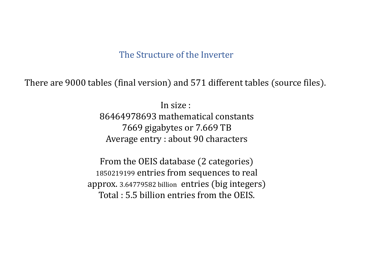#### The Structure of the Inverter

There are 9000 tables (final version) and 571 different tables (source files).

In size : 86464978693 mathematical constants 7669 gigabytes or 7.669 TB Average entry : about 90 characters

From the OEIS database (2 categories) 1850219199 entries from sequences to real approx. 3.64779582 billion entries (big integers) Total : 5.5 billion entries from the OEIS.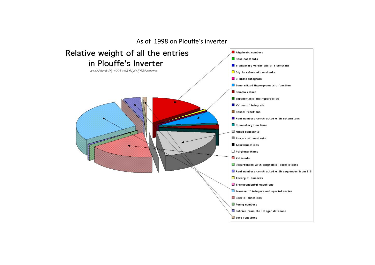#### As of 1998 on Plouffe's inverter

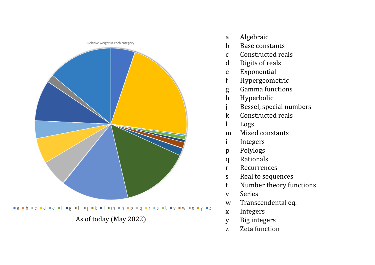

- <sup>a</sup> Algebraic
- b Base constants
- <sup>c</sup> Constructed reals
- d Digits of reals
- <sup>e</sup> Exponential
- f Hypergeometric
- g Gamma functions
- h Hyperbolic
- j Bessel, special numbers
- k Constructed reals
- l Logs
- <sup>m</sup> Mixed constants
- i Integers
- p Polylogs
- q Rationals
- <sup>r</sup> Recurrences
- s Real to sequences
- <sup>t</sup> Number theory functions
- <sup>v</sup> Series
- <sup>w</sup> Transcendental eq.
- <sup>x</sup> Integers
- y Big integers
- <sup>z</sup> Zeta function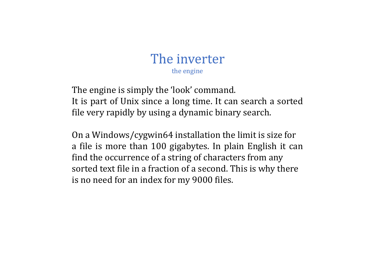# The inverter the engine

The engine is simply the 'look' command. It is part of Unix since <sup>a</sup> long time. It can search <sup>a</sup> sorted file very rapidly by using <sup>a</sup> dynamic binary search.

On <sup>a</sup> Windows/cygwin64 installation the limit is size for <sup>a</sup> file is more than 100 gigabytes. In plain English it can find the occurrence of <sup>a</sup> string of characters from any sorted text file in <sup>a</sup> fraction of <sup>a</sup> second. This is why there is no need for an index for my 9000 files.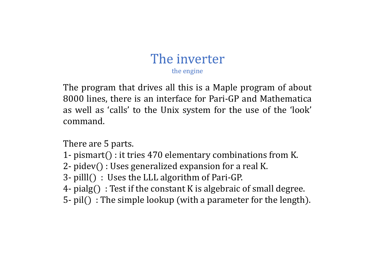#### The inverter the engine

The program that drives all this is <sup>a</sup> Maple program of about 8000 lines, there is an interface for Pari-GP and Mathematica as well as 'calls' to the Unix system for the use of the 'look' command.

There are 5 parts.

- 1- pismart() : it tries 470 elementary combinations from K.
- $2$  pidev() : Uses generalized expansion for a real K.
- 3- pilll() : Uses the LLL algorithm of Pari-GP.
- 4- pialg $($ ) : Test if the constant K is algebraic of small degree.
- $5-$  pil() : The simple lookup (with a parameter for the length).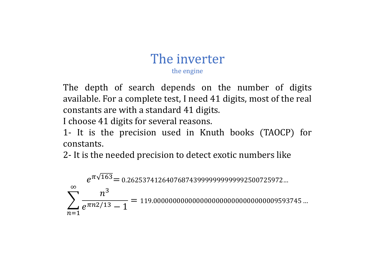# The inverter

the engine

The depth of search depends on the number of digits available. For <sup>a</sup> complete test, I need 41 digits, most of the real constants are with <sup>a</sup> standard 41 digits.

I choose 41 digits for several reasons.

1- It is the precision used in Knuth books (TAOCP) for constants.

2- It is the needed precision to detect exotic numbers like

 $e^{\pi\sqrt{163}}$   $=$  0.2625374126407687439999999999992500725972…  $\sum_{n=1}^{\infty} \frac{n^3}{e^{\pi n^2/13} - 1} = 119.0000000000000000000000000000009593745 ...$  $n = 1$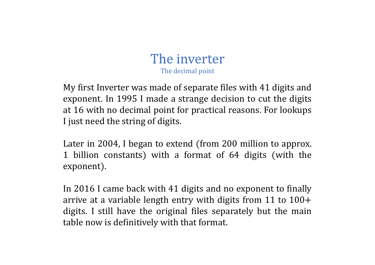# The inverter The decimal point

My first Inverter was made of separate files with 41 digits and exponent. In 1995 I made <sup>a</sup> strange decision to cut the digits at 16 with no decimal point for practical reasons. For lookups I just need the string of digits.

Later in 2004, I began to extend (from 200 million to approx. 1 billion constants) with a format of 64 digits (with the exponent).

In 2016 I came back with 41 digits and no exponent to finally arrive at <sup>a</sup> variable length entry with digits from 11 to 100 digits. I still have the original files separately but the main table now is definitively with that format.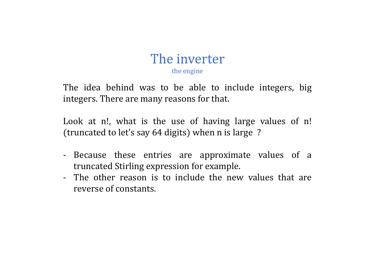#### The inverter the engine

The idea behind was to be able to include integers, big integers. There are many reasons for that.

Look at n!, what is the use of having large values of n! (truncated to let's say 64 digits) when n is large?

- Because these entries are approximate values of <sup>a</sup> truncated Stirling expression for example.
- The other reason is to include the new values that are reverse of constants.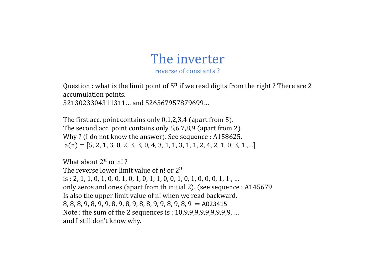#### The inverter reverse of constants ?

Question : what is the limit point of  $5^n$  if we read digits from the right ? There are 2 accumulation points.

5213023304311311… and 526567957879699…

The first acc. point contains only  $0,1,2,3,4$  (apart from 5). The second acc. point contains only 5,6,7,8,9 (apart from 2). Why ? (I do not know the answer). See sequence : A158625.  $a(n) = [5, 2, 1, 3, 0, 2, 3, 3, 0, 4, 3, 1, 1, 3, 1, 1, 2, 4, 2, 1, 0, 3, 1, \ldots]$ 

What about  $2^n$  or  $n!$  ? The reverse lower limit value of n! or  $2^n$ is : 2, 1, 1, 0, 1, 0, 0, 1, 0, 1, 0, 1, 1, 0, 0, 1, 0, 1, 0, 0, 0, 1, 1 , … only zeros and ones (apart from th initial 2). (see sequence : A145679 Is also the upper limit value of n! when we read backward.  $8, 8, 8, 9, 8, 9, 9, 8, 9, 8, 9, 8, 8, 9, 9, 8, 9, 8, 9 = A023415$ Note : the sum of the 2 sequences is : 10,9,9,9,9,9,9,9,9,9, … and I still don't know why.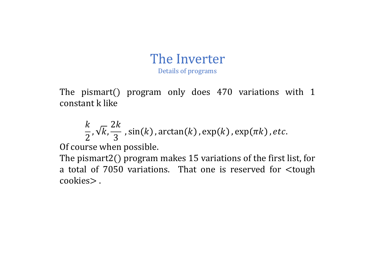# The Inverter

Details of programs

The pismart() program only does 470 variations with 1 constant k like

$$
\frac{k}{2}, \sqrt{k}, \frac{2k}{3}
$$
, sin(k), arctan(k), exp(k), exp(πk), etc.

Of course when possible.

The pismart2 $($ ) program makes 15 variations of the first list, for a total of  $7050$  variations. That one is reserved for  $ltq$ tough cookies>.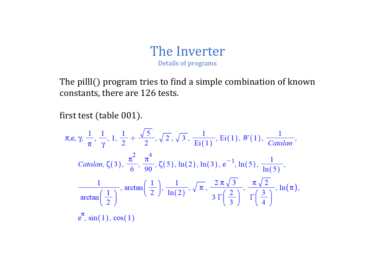The pilll() program tries to find a simple combination of known constants, there are 126 tests.

first test (table 001).

$$
\pi, e, \gamma, \frac{1}{\pi}, \frac{1}{\gamma}, 1, \frac{1}{2} + \frac{\sqrt{5}}{2}, \sqrt{2}, \sqrt{3}, \frac{1}{\text{Ei}(1)}, \text{Ei}(1), W(1), \frac{1}{\text{Catalan}},
$$
  
\n
$$
\text{Catalan, } \zeta(3), \frac{\pi^2}{6}, \frac{\pi^4}{90}, \zeta(5), \ln(2), \ln(3), e^{-1}, \ln(5), \frac{1}{\ln(5)},
$$
  
\n
$$
\frac{1}{\arctan\left(\frac{1}{2}\right)}, \arctan\left(\frac{1}{2}\right), \frac{1}{\ln(2)}, \sqrt{\pi}, \frac{2\pi\sqrt{3}}{3\Gamma\left(\frac{2}{3}\right)}, \frac{\pi\sqrt{2}}{\Gamma\left(\frac{3}{4}\right)}, \ln(\pi),
$$
  
\n
$$
e^{\pi}, \sin(1), \cos(1)
$$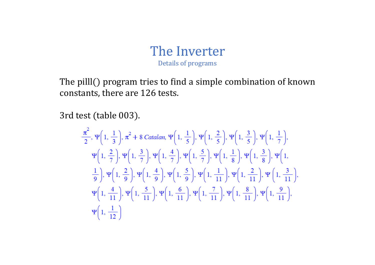The pilll() program tries to find a simple combination of known constants, there are 126 tests.

3rd test (table 003).

$$
\frac{\pi^{2}}{2}, \Psi\left(1, \frac{1}{3}\right), \pi^{2} + 8 \text{ Catalan}, \Psi\left(1, \frac{1}{5}\right), \Psi\left(1, \frac{2}{5}\right), \Psi\left(1, \frac{3}{5}\right), \Psi\left(1, \frac{1}{7}\right),
$$
\n
$$
\Psi\left(1, \frac{2}{7}\right), \Psi\left(1, \frac{3}{7}\right), \Psi\left(1, \frac{4}{7}\right), \Psi\left(1, \frac{5}{7}\right), \Psi\left(1, \frac{1}{8}\right), \Psi\left(1, \frac{3}{8}\right), \Psi\left(1, \frac{1}{8}\right), \Psi\left(1, \frac{1}{10}\right),
$$
\n
$$
\frac{1}{9}, \Psi\left(1, \frac{2}{9}\right), \Psi\left(1, \frac{4}{9}\right), \Psi\left(1, \frac{5}{9}\right), \Psi\left(1, \frac{1}{11}\right), \Psi\left(1, \frac{2}{11}\right), \Psi\left(1, \frac{3}{11}\right),
$$
\n
$$
\Psi\left(1, \frac{4}{11}\right), \Psi\left(1, \frac{5}{11}\right), \Psi\left(1, \frac{6}{11}\right), \Psi\left(1, \frac{7}{11}\right), \Psi\left(1, \frac{8}{11}\right), \Psi\left(1, \frac{9}{11}\right),
$$
\n
$$
\Psi\left(1, \frac{1}{12}\right)
$$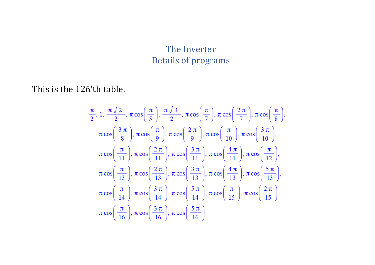#### This is the 126'th table.

$$
\frac{\pi}{2}, 1, \frac{\pi\sqrt{2}}{2}, \pi \cos\left(\frac{\pi}{5}\right), \frac{\pi\sqrt{3}}{2}, \pi \cos\left(\frac{\pi}{7}\right), \pi \cos\left(\frac{2\pi}{7}\right), \pi \cos\left(\frac{\pi}{8}\right),
$$
  
\n
$$
\pi \cos\left(\frac{3\pi}{8}\right), \pi \cos\left(\frac{\pi}{9}\right), \pi \cos\left(\frac{2\pi}{9}\right), \pi \cos\left(\frac{\pi}{10}\right), \pi \cos\left(\frac{3\pi}{10}\right),
$$
  
\n
$$
\pi \cos\left(\frac{\pi}{11}\right), \pi \cos\left(\frac{2\pi}{11}\right), \pi \cos\left(\frac{3\pi}{11}\right), \pi \cos\left(\frac{4\pi}{11}\right), \pi \cos\left(\frac{\pi}{12}\right),
$$
  
\n
$$
\pi \cos\left(\frac{\pi}{13}\right), \pi \cos\left(\frac{2\pi}{13}\right), \pi \cos\left(\frac{3\pi}{13}\right), \pi \cos\left(\frac{4\pi}{13}\right), \pi \cos\left(\frac{5\pi}{13}\right),
$$
  
\n
$$
\pi \cos\left(\frac{\pi}{14}\right), \pi \cos\left(\frac{3\pi}{14}\right), \pi \cos\left(\frac{5\pi}{14}\right), \pi \cos\left(\frac{\pi}{15}\right), \pi \cos\left(\frac{2\pi}{15}\right),
$$
  
\n
$$
\pi \cos\left(\frac{\pi}{16}\right), \pi \cos\left(\frac{3\pi}{16}\right), \pi \cos\left(\frac{5\pi}{16}\right)
$$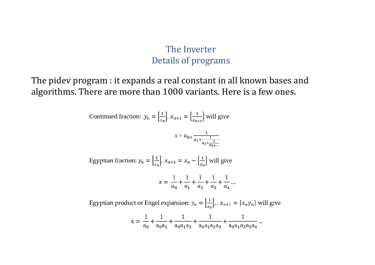The pidev program : it expands a real constant in all known bases and algorithms. There are more than 1000 variants. Here is a few ones.

Continued fraction:  $y_n = \left[\frac{1}{x_n}\right], x_{n+1} = \left\{\frac{1}{x_{n+1}}\right\}$  will give

$$
\chi = a_{0+} \frac{1}{a_1 + \frac{1}{a_2 + \frac{1}{a_3 + \dotsb}}}
$$

Egyptian fraction:  $y_n = \left[\frac{1}{x_n}\right]$ ,  $x_{n+1} = x_n - \left\{\frac{1}{y_n}\right\}$  will give

$$
x = \frac{1}{a_0} + \frac{1}{a_1} + \frac{1}{a_2} + \frac{1}{a_3} + \frac{1}{a_4} \dots
$$

Egyptian product or Engel expansion:  $y_n = \left[\frac{1}{x_n}\right]$ , ,  $x_{n+1} = \{x_n y_n\}$  will give

$$
x = \frac{1}{a_0} + \frac{1}{a_0 a_1} + \frac{1}{a_0 a_1 a_2} + \frac{1}{a_0 a_1 a_2 a_3} + \frac{1}{a_0 a_1 a_2 a_3 a_4}.
$$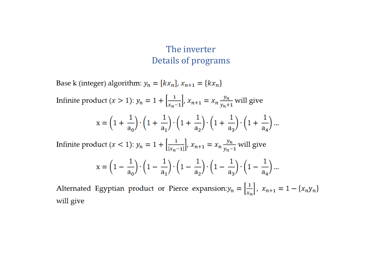Base k (integer) algorithm:  $y_n = [kx_n]$ ,  $x_{n+1} = \{kx_n\}$ 

Infinite product  $(x > 1)$ :  $y_n = 1 + \left[\frac{1}{x_{n-1}}\right], x_{n+1} = x_n \frac{y_n}{y_{n+1}}$  will give  $x = \left(1 + \frac{1}{a_0}\right) \cdot \left(1 + \frac{1}{a_1}\right) \cdot \left(1 + \frac{1}{a_2}\right) \cdot \left(1 + \frac{1}{a_2}\right) \cdot \left(1 + \frac{1}{a_4}\right) \dots$ Infinite product  $(x < 1)$ :  $y_n = 1 + \left[\frac{1}{|x_n-1|}\right]$ ,  $x_{n+1} = x_n \frac{y_n}{y_n-1}$  will give

$$
x = \left(1-\frac{1}{a_0}\right)\cdot \left(1-\frac{1}{a_1}\right)\cdot \left(1-\frac{1}{a_2}\right)\cdot \left(1-\frac{1}{a_3}\right)\cdot \left(1-\frac{1}{a_4}\right)...
$$

Alternated Egyptian product or Pierce expansion:  $y_n = \left[\frac{1}{x_n}\right]$ ,  $x_{n+1} = 1 - \{x_n y_n\}$ will give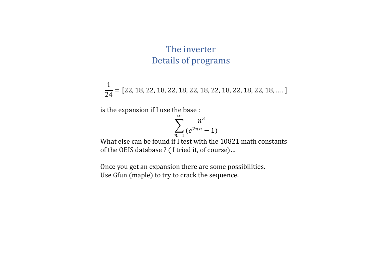1  $\frac{1}{24}= [22, 18, 22, 18, 22, 18, 22, 18, 22, 18, 22, 18, 22, 18, ...].$ 

is the expansion if I use the base :

$$
\sum_{n=1}^{\infty} \frac{n^3}{(e^{2\pi n} - 1)}
$$

What else can be found if I test with the 10821 math constants of the OEIS database ? (I tried it, of course)...

Once you get an expansion there are some possibilities. Use Gfun (maple) to try to crack the sequence.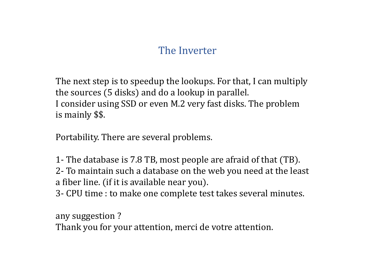# The Inverter

The next step is to speedup the lookups. For that, I can multiply the sources (5 disks) and do a lookup in parallel. I consider using SSD or even M.2 very fast disks. The problem is mainly \$\$.

Portability. There are several problems.

1- The database is 7.8 TB, most people are afraid of that (TB).

2- To maintain such a database on the web you need at the least a fiber line. (if it is available near you).

3- CPU time : to make one complete test takes several minutes.

any suggestion ? Thank you for your attention, merci de votre attention.